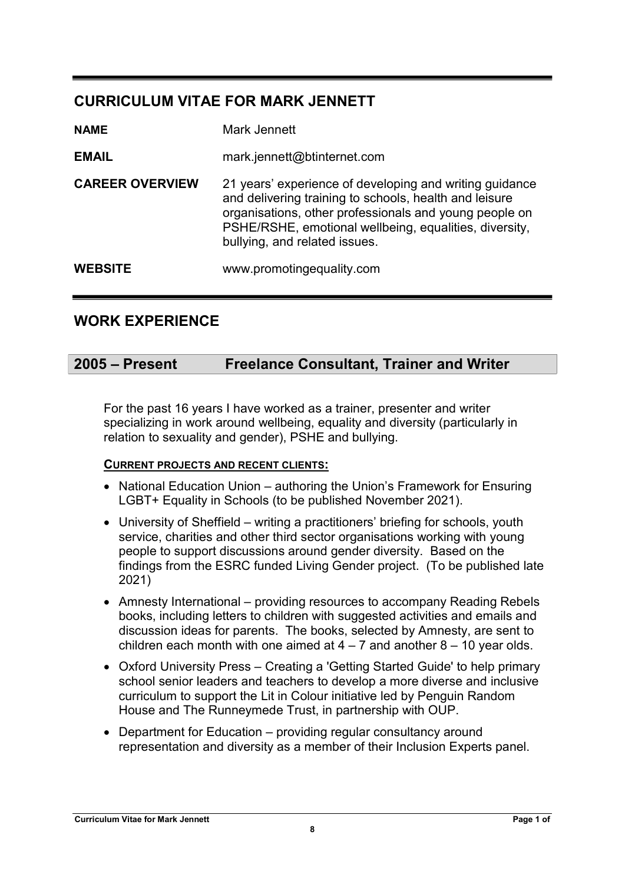# CURRICULUM VITAE FOR MARK JENNETT

| <b>NAME</b>            | Mark Jennett                                                                                                                                                                                                                                                           |
|------------------------|------------------------------------------------------------------------------------------------------------------------------------------------------------------------------------------------------------------------------------------------------------------------|
| <b>EMAIL</b>           | mark.jennett@btinternet.com                                                                                                                                                                                                                                            |
| <b>CAREER OVERVIEW</b> | 21 years' experience of developing and writing guidance<br>and delivering training to schools, health and leisure<br>organisations, other professionals and young people on<br>PSHE/RSHE, emotional wellbeing, equalities, diversity,<br>bullying, and related issues. |
| <b>WEBSITE</b>         | www.promotingequality.com                                                                                                                                                                                                                                              |

# WORK EXPERIENCE

# 2005 – Present Freelance Consultant, Trainer and Writer

For the past 16 years I have worked as a trainer, presenter and writer specializing in work around wellbeing, equality and diversity (particularly in relation to sexuality and gender), PSHE and bullying.

# CURRENT PROJECTS AND RECENT CLIENTS:

- National Education Union authoring the Union's Framework for Ensuring LGBT+ Equality in Schools (to be published November 2021).
- University of Sheffield writing a practitioners' briefing for schools, youth service, charities and other third sector organisations working with young people to support discussions around gender diversity. Based on the findings from the ESRC funded Living Gender project. (To be published late 2021)
- Amnesty International providing resources to accompany Reading Rebels books, including letters to children with suggested activities and emails and discussion ideas for parents. The books, selected by Amnesty, are sent to children each month with one aimed at  $4 - 7$  and another  $8 - 10$  year olds.
- Oxford University Press Creating a 'Getting Started Guide' to help primary school senior leaders and teachers to develop a more diverse and inclusive curriculum to support the Lit in Colour initiative led by Penguin Random House and The Runneymede Trust, in partnership with OUP.
- Department for Education providing regular consultancy around representation and diversity as a member of their Inclusion Experts panel.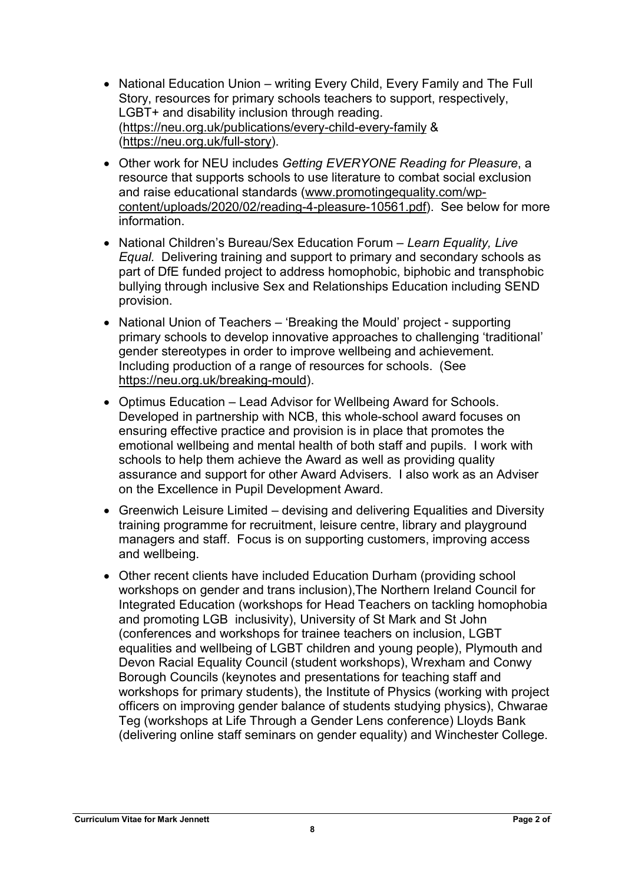- National Education Union writing Every Child, Every Family and The Full Story, resources for primary schools teachers to support, respectively, LGBT+ and disability inclusion through reading. (https://neu.org.uk/publications/every-child-every-family & (https://neu.org.uk/full-story).
- Other work for NEU includes Getting EVERYONE Reading for Pleasure, a resource that supports schools to use literature to combat social exclusion and raise educational standards (www.promotingequality.com/wpcontent/uploads/2020/02/reading-4-pleasure-10561.pdf). See below for more information.
- National Children's Bureau/Sex Education Forum Learn Equality, Live Equal. Delivering training and support to primary and secondary schools as part of DfE funded project to address homophobic, biphobic and transphobic bullying through inclusive Sex and Relationships Education including SEND provision.
- National Union of Teachers 'Breaking the Mould' project supporting primary schools to develop innovative approaches to challenging 'traditional' gender stereotypes in order to improve wellbeing and achievement. Including production of a range of resources for schools. (See https://neu.org.uk/breaking-mould).
- Optimus Education Lead Advisor for Wellbeing Award for Schools. Developed in partnership with NCB, this whole-school award focuses on ensuring effective practice and provision is in place that promotes the emotional wellbeing and mental health of both staff and pupils. I work with schools to help them achieve the Award as well as providing quality assurance and support for other Award Advisers. I also work as an Adviser on the Excellence in Pupil Development Award.
- Greenwich Leisure Limited devising and delivering Equalities and Diversity training programme for recruitment, leisure centre, library and playground managers and staff. Focus is on supporting customers, improving access and wellbeing.
- Other recent clients have included Education Durham (providing school workshops on gender and trans inclusion),The Northern Ireland Council for Integrated Education (workshops for Head Teachers on tackling homophobia and promoting LGB inclusivity), University of St Mark and St John (conferences and workshops for trainee teachers on inclusion, LGBT equalities and wellbeing of LGBT children and young people), Plymouth and Devon Racial Equality Council (student workshops), Wrexham and Conwy Borough Councils (keynotes and presentations for teaching staff and workshops for primary students), the Institute of Physics (working with project officers on improving gender balance of students studying physics), Chwarae Teg (workshops at Life Through a Gender Lens conference) Lloyds Bank (delivering online staff seminars on gender equality) and Winchester College.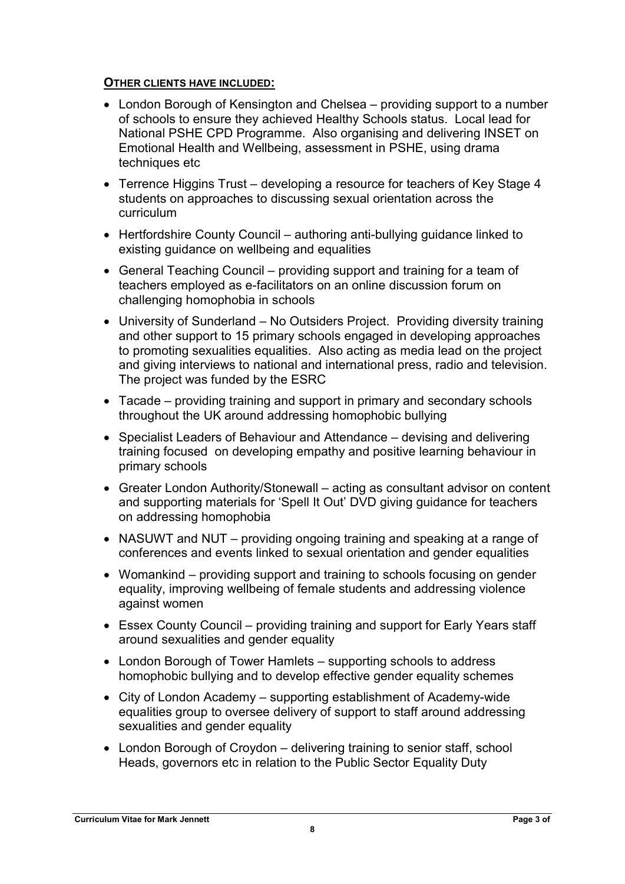## OTHER CLIENTS HAVE INCLUDED:

- London Borough of Kensington and Chelsea providing support to a number of schools to ensure they achieved Healthy Schools status. Local lead for National PSHE CPD Programme. Also organising and delivering INSET on Emotional Health and Wellbeing, assessment in PSHE, using drama techniques etc
- Terrence Higgins Trust developing a resource for teachers of Key Stage 4 students on approaches to discussing sexual orientation across the curriculum
- Hertfordshire County Council authoring anti-bullying guidance linked to existing guidance on wellbeing and equalities
- General Teaching Council providing support and training for a team of teachers employed as e-facilitators on an online discussion forum on challenging homophobia in schools
- University of Sunderland No Outsiders Project. Providing diversity training and other support to 15 primary schools engaged in developing approaches to promoting sexualities equalities. Also acting as media lead on the project and giving interviews to national and international press, radio and television. The project was funded by the ESRC
- Tacade providing training and support in primary and secondary schools throughout the UK around addressing homophobic bullying
- Specialist Leaders of Behaviour and Attendance devising and delivering training focused on developing empathy and positive learning behaviour in primary schools
- Greater London Authority/Stonewall acting as consultant advisor on content and supporting materials for 'Spell It Out' DVD giving guidance for teachers on addressing homophobia
- NASUWT and NUT providing ongoing training and speaking at a range of conferences and events linked to sexual orientation and gender equalities
- Womankind providing support and training to schools focusing on gender equality, improving wellbeing of female students and addressing violence against women
- Essex County Council providing training and support for Early Years staff around sexualities and gender equality
- London Borough of Tower Hamlets supporting schools to address homophobic bullying and to develop effective gender equality schemes
- City of London Academy supporting establishment of Academy-wide equalities group to oversee delivery of support to staff around addressing sexualities and gender equality
- London Borough of Croydon delivering training to senior staff, school Heads, governors etc in relation to the Public Sector Equality Duty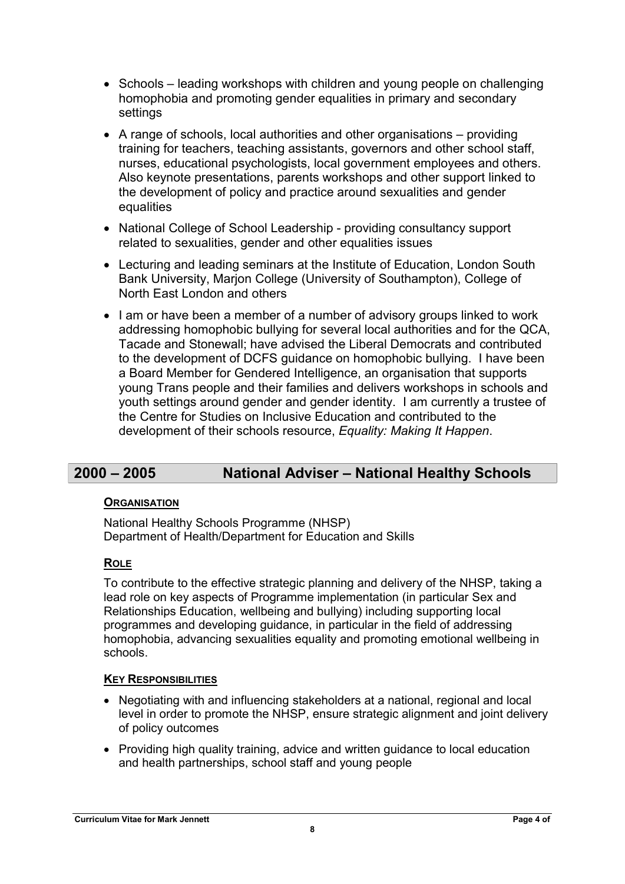- Schools leading workshops with children and young people on challenging homophobia and promoting gender equalities in primary and secondary settings
- A range of schools, local authorities and other organisations providing training for teachers, teaching assistants, governors and other school staff, nurses, educational psychologists, local government employees and others. Also keynote presentations, parents workshops and other support linked to the development of policy and practice around sexualities and gender equalities
- National College of School Leadership providing consultancy support related to sexualities, gender and other equalities issues
- Lecturing and leading seminars at the Institute of Education, London South Bank University, Marjon College (University of Southampton), College of North East London and others
- I am or have been a member of a number of advisory groups linked to work addressing homophobic bullying for several local authorities and for the QCA, Tacade and Stonewall; have advised the Liberal Democrats and contributed to the development of DCFS guidance on homophobic bullying. I have been a Board Member for Gendered Intelligence, an organisation that supports young Trans people and their families and delivers workshops in schools and youth settings around gender and gender identity. I am currently a trustee of the Centre for Studies on Inclusive Education and contributed to the development of their schools resource, Equality: Making It Happen.

# 2000 – 2005 National Adviser – National Healthy Schools

## **ORGANISATION**

National Healthy Schools Programme (NHSP) Department of Health/Department for Education and Skills

## **ROLE**

To contribute to the effective strategic planning and delivery of the NHSP, taking a lead role on key aspects of Programme implementation (in particular Sex and Relationships Education, wellbeing and bullying) including supporting local programmes and developing guidance, in particular in the field of addressing homophobia, advancing sexualities equality and promoting emotional wellbeing in schools.

## **KEY RESPONSIBILITIES**

- Negotiating with and influencing stakeholders at a national, regional and local level in order to promote the NHSP, ensure strategic alignment and joint delivery of policy outcomes
- Providing high quality training, advice and written guidance to local education and health partnerships, school staff and young people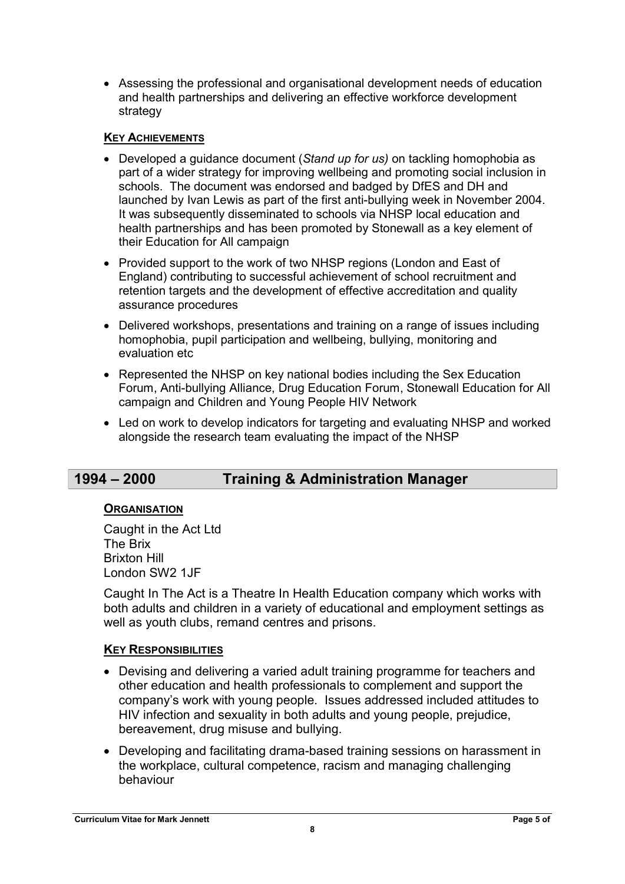Assessing the professional and organisational development needs of education and health partnerships and delivering an effective workforce development strategy

## KEY ACHIEVEMENTS

- Developed a guidance document (Stand up for us) on tackling homophobia as part of a wider strategy for improving wellbeing and promoting social inclusion in schools. The document was endorsed and badged by DfES and DH and launched by Ivan Lewis as part of the first anti-bullying week in November 2004. It was subsequently disseminated to schools via NHSP local education and health partnerships and has been promoted by Stonewall as a key element of their Education for All campaign
- Provided support to the work of two NHSP regions (London and East of England) contributing to successful achievement of school recruitment and retention targets and the development of effective accreditation and quality assurance procedures
- Delivered workshops, presentations and training on a range of issues including homophobia, pupil participation and wellbeing, bullying, monitoring and evaluation etc.
- Represented the NHSP on key national bodies including the Sex Education Forum, Anti-bullying Alliance, Drug Education Forum, Stonewall Education for All campaign and Children and Young People HIV Network
- Led on work to develop indicators for targeting and evaluating NHSP and worked alongside the research team evaluating the impact of the NHSP

# 1994 – 2000 Training & Administration Manager

## **ORGANISATION**

Caught in the Act Ltd The Brix Brixton Hill London SW2 1JF

Caught In The Act is a Theatre In Health Education company which works with both adults and children in a variety of educational and employment settings as well as youth clubs, remand centres and prisons.

## KEY RESPONSIBILITIES

- Devising and delivering a varied adult training programme for teachers and other education and health professionals to complement and support the company's work with young people. Issues addressed included attitudes to HIV infection and sexuality in both adults and young people, prejudice, bereavement, drug misuse and bullying.
- Developing and facilitating drama-based training sessions on harassment in the workplace, cultural competence, racism and managing challenging behaviour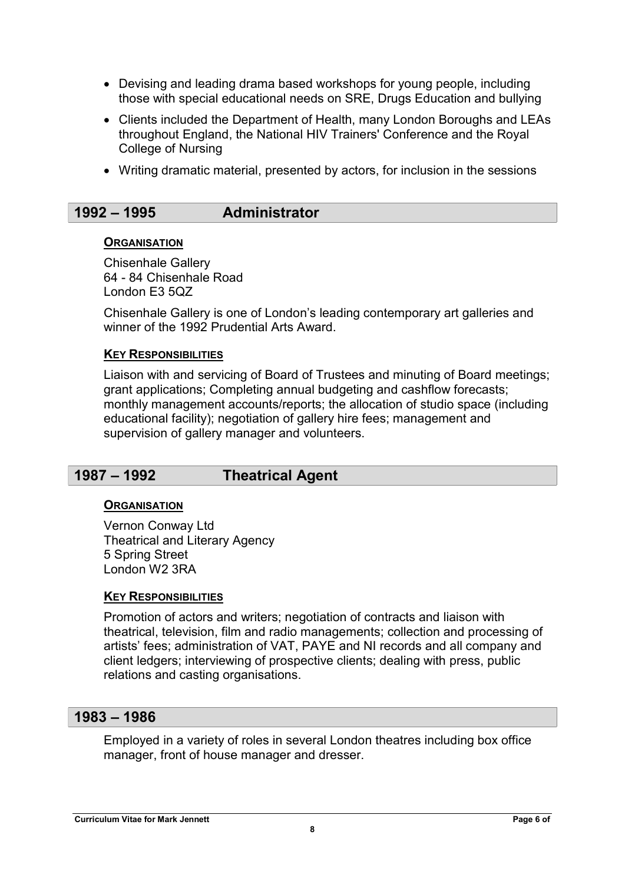- Devising and leading drama based workshops for young people, including those with special educational needs on SRE, Drugs Education and bullying
- Clients included the Department of Health, many London Boroughs and LEAs throughout England, the National HIV Trainers' Conference and the Royal College of Nursing
- Writing dramatic material, presented by actors, for inclusion in the sessions

# 1992 – 1995 Administrator

#### **ORGANISATION**

Chisenhale Gallery 64 - 84 Chisenhale Road London E3 5QZ

Chisenhale Gallery is one of London's leading contemporary art galleries and winner of the 1992 Prudential Arts Award.

#### **KEY RESPONSIBILITIES**

Liaison with and servicing of Board of Trustees and minuting of Board meetings; grant applications; Completing annual budgeting and cashflow forecasts; monthly management accounts/reports; the allocation of studio space (including educational facility); negotiation of gallery hire fees; management and supervision of gallery manager and volunteers.

# 1987 – 1992 Theatrical Agent

## **ORGANISATION**

Vernon Conway Ltd Theatrical and Literary Agency 5 Spring Street London W2 3RA

## **KEY RESPONSIBILITIES**

Promotion of actors and writers; negotiation of contracts and liaison with theatrical, television, film and radio managements; collection and processing of artists' fees; administration of VAT, PAYE and NI records and all company and client ledgers; interviewing of prospective clients; dealing with press, public relations and casting organisations.

## 1983 – 1986

Employed in a variety of roles in several London theatres including box office manager, front of house manager and dresser.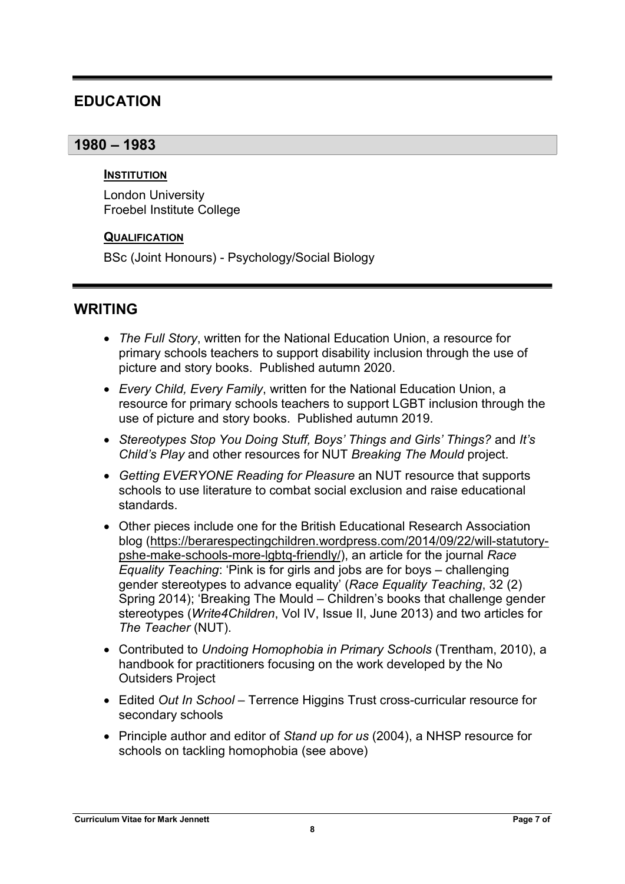# EDUCATION

# 1980 – 1983

#### **INSTITUTION**

London University Froebel Institute College

## **QUALIFICATION**

BSc (Joint Honours) - Psychology/Social Biology

# WRITING

- The Full Story, written for the National Education Union, a resource for primary schools teachers to support disability inclusion through the use of picture and story books. Published autumn 2020.
- Every Child, Every Family, written for the National Education Union, a resource for primary schools teachers to support LGBT inclusion through the use of picture and story books. Published autumn 2019.
- Stereotypes Stop You Doing Stuff, Boys' Things and Girls' Things? and It's Child's Play and other resources for NUT Breaking The Mould project.
- Getting EVERYONE Reading for Pleasure an NUT resource that supports schools to use literature to combat social exclusion and raise educational standards.
- Other pieces include one for the British Educational Research Association blog (https://berarespectingchildren.wordpress.com/2014/09/22/will-statutorypshe-make-schools-more-lgbtq-friendly/), an article for the journal Race Equality Teaching: 'Pink is for girls and jobs are for boys – challenging gender stereotypes to advance equality' (Race Equality Teaching, 32 (2) Spring 2014); 'Breaking The Mould – Children's books that challenge gender stereotypes (Write4Children, Vol IV, Issue II, June 2013) and two articles for The Teacher (NUT).
- Contributed to Undoing Homophobia in Primary Schools (Trentham, 2010), a handbook for practitioners focusing on the work developed by the No Outsiders Project
- Edited Out In School Terrence Higgins Trust cross-curricular resource for secondary schools
- Principle author and editor of Stand up for us (2004), a NHSP resource for schools on tackling homophobia (see above)